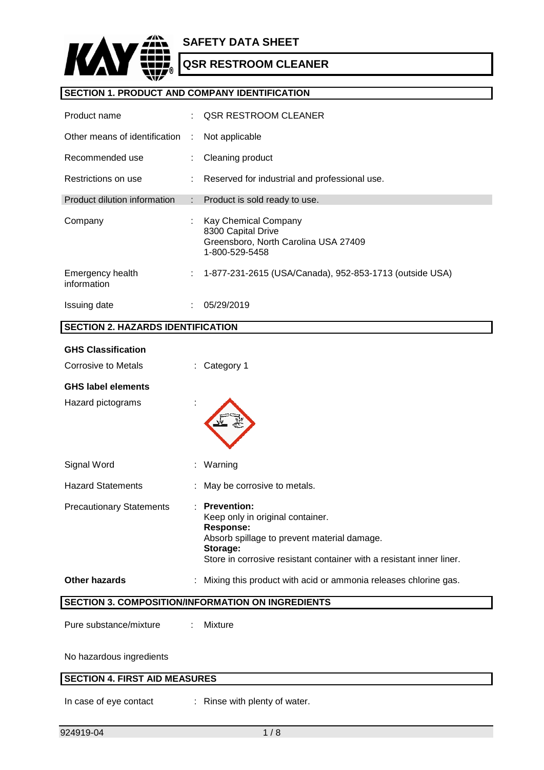

# **SECTION 1. PRODUCT AND COMPANY IDENTIFICATION**

| Product name                    |                           | OSR RESTROOM CLEANER                                                                                 |
|---------------------------------|---------------------------|------------------------------------------------------------------------------------------------------|
| Other means of identification   | $\mathcal{L}$             | Not applicable                                                                                       |
| Recommended use                 |                           | Cleaning product                                                                                     |
| Restrictions on use             |                           | : Reserved for industrial and professional use.                                                      |
| Product dilution information    | $\mathbb{R}^{\mathbb{Z}}$ | Product is sold ready to use.                                                                        |
| Company                         | ÷                         | Kay Chemical Company<br>8300 Capital Drive<br>Greensboro, North Carolina USA 27409<br>1-800-529-5458 |
| Emergency health<br>information | ÷.                        | 1-877-231-2615 (USA/Canada), 952-853-1713 (outside USA)                                              |
| Issuing date                    | ٠.                        | 05/29/2019                                                                                           |

# **SECTION 2. HAZARDS IDENTIFICATION**

| <b>GHS Classification</b>       |                                                                                                                                                                                                               |
|---------------------------------|---------------------------------------------------------------------------------------------------------------------------------------------------------------------------------------------------------------|
| Corrosive to Metals             | : Category 1                                                                                                                                                                                                  |
| <b>GHS label elements</b>       |                                                                                                                                                                                                               |
| Hazard pictograms               |                                                                                                                                                                                                               |
| Signal Word                     | Warning                                                                                                                                                                                                       |
| <b>Hazard Statements</b>        | May be corrosive to metals.                                                                                                                                                                                   |
| <b>Precautionary Statements</b> | <b>Prevention:</b><br>Keep only in original container.<br><b>Response:</b><br>Absorb spillage to prevent material damage.<br>Storage:<br>Store in corrosive resistant container with a resistant inner liner. |
| <b>Other hazards</b>            | Mixing this product with acid or ammonia releases chlorine gas.                                                                                                                                               |
|                                 | <b>SECTION 3. COMPOSITION/INFORMATION ON INGREDIENTS</b>                                                                                                                                                      |
| Pure substance/mixture          | Mixture                                                                                                                                                                                                       |

No hazardous ingredients

# **SECTION 4. FIRST AID MEASURES**

In case of eye contact : Rinse with plenty of water.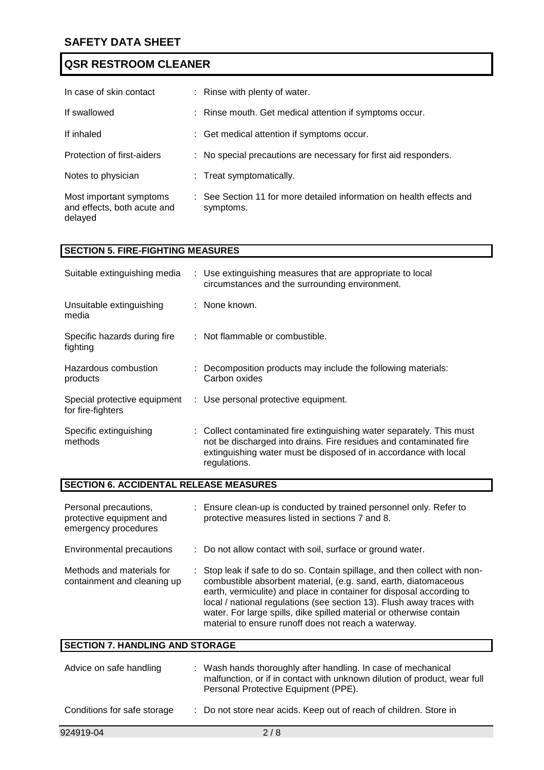| In case of skin contact                                           | : Rinse with plenty of water.                                                     |
|-------------------------------------------------------------------|-----------------------------------------------------------------------------------|
| If swallowed                                                      | : Rinse mouth. Get medical attention if symptoms occur.                           |
| If inhaled                                                        | : Get medical attention if symptoms occur.                                        |
| Protection of first-aiders                                        | : No special precautions are necessary for first aid responders.                  |
| Notes to physician                                                | : Treat symptomatically.                                                          |
| Most important symptoms<br>and effects, both acute and<br>delayed | : See Section 11 for more detailed information on health effects and<br>symptoms. |

# **SECTION 5. FIRE-FIGHTING MEASURES**

| Suitable extinguishing media                      | : Use extinguishing measures that are appropriate to local<br>circumstances and the surrounding environment.                                                                                                                    |
|---------------------------------------------------|---------------------------------------------------------------------------------------------------------------------------------------------------------------------------------------------------------------------------------|
| Unsuitable extinguishing<br>media                 | : None known.                                                                                                                                                                                                                   |
| Specific hazards during fire<br>fighting          | : Not flammable or combustible.                                                                                                                                                                                                 |
| Hazardous combustion<br>products                  | : Decomposition products may include the following materials:<br>Carbon oxides                                                                                                                                                  |
| Special protective equipment<br>for fire-fighters | : Use personal protective equipment.                                                                                                                                                                                            |
| Specific extinguishing<br>methods                 | : Collect contaminated fire extinguishing water separately. This must<br>not be discharged into drains. Fire residues and contaminated fire<br>extinguishing water must be disposed of in accordance with local<br>regulations. |

# **SECTION 6. ACCIDENTAL RELEASE MEASURES**

| Personal precautions,<br>protective equipment and<br>emergency procedures | : Ensure clean-up is conducted by trained personnel only. Refer to<br>protective measures listed in sections 7 and 8.                                                                                                                                                                                                                                                                                                         |
|---------------------------------------------------------------------------|-------------------------------------------------------------------------------------------------------------------------------------------------------------------------------------------------------------------------------------------------------------------------------------------------------------------------------------------------------------------------------------------------------------------------------|
| Environmental precautions                                                 | : Do not allow contact with soil, surface or ground water.                                                                                                                                                                                                                                                                                                                                                                    |
| Methods and materials for<br>containment and cleaning up                  | : Stop leak if safe to do so. Contain spillage, and then collect with non-<br>combustible absorbent material, (e.g. sand, earth, diatomaceous<br>earth, vermiculite) and place in container for disposal according to<br>local / national regulations (see section 13). Flush away traces with<br>water. For large spills, dike spilled material or otherwise contain<br>material to ensure runoff does not reach a waterway. |

| <b>SECTION 7. HANDLING AND STORAGE</b> |                                                                                                                                                                                    |  |  |
|----------------------------------------|------------------------------------------------------------------------------------------------------------------------------------------------------------------------------------|--|--|
| Advice on safe handling                | : Wash hands thoroughly after handling. In case of mechanical<br>malfunction, or if in contact with unknown dilution of product, wear full<br>Personal Protective Equipment (PPE). |  |  |
| Conditions for safe storage            | : Do not store near acids. Keep out of reach of children. Store in                                                                                                                 |  |  |
| 924919-04                              | 2/8                                                                                                                                                                                |  |  |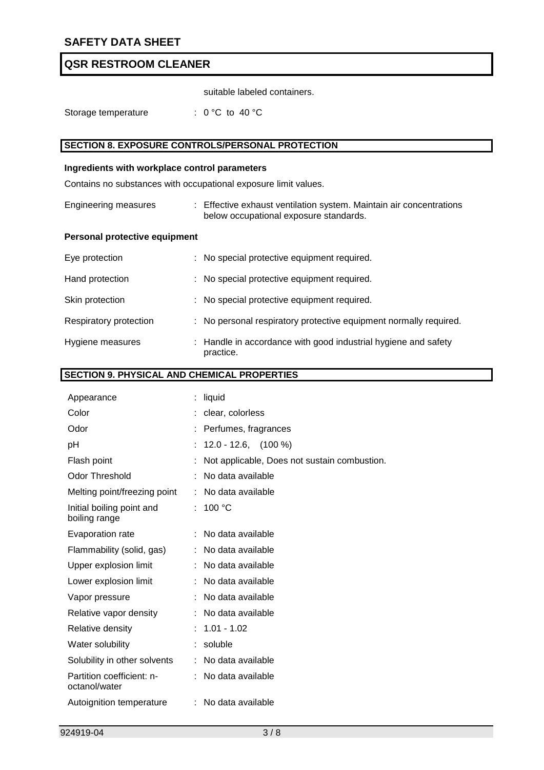suitable labeled containers.

Storage temperature : 0 °C to 40 °C

# **SECTION 8. EXPOSURE CONTROLS/PERSONAL PROTECTION**

### **Ingredients with workplace control parameters**

Contains no substances with occupational exposure limit values.

| Engineering measures | : Effective exhaust ventilation system. Maintain air concentrations |
|----------------------|---------------------------------------------------------------------|
|                      | below occupational exposure standards.                              |

## **Personal protective equipment**

| Eye protection         | : No special protective equipment required.                                 |
|------------------------|-----------------------------------------------------------------------------|
| Hand protection        | : No special protective equipment required.                                 |
| Skin protection        | : No special protective equipment required.                                 |
| Respiratory protection | : No personal respiratory protective equipment normally required.           |
| Hygiene measures       | : Handle in accordance with good industrial hygiene and safety<br>practice. |

# **SECTION 9. PHYSICAL AND CHEMICAL PROPERTIES**

| Appearance                                 | liquid                                       |
|--------------------------------------------|----------------------------------------------|
| Color                                      | clear, colorless                             |
| Odor                                       | Perfumes, fragrances                         |
| pH                                         | $12.0 - 12.6$ , $(100\%)$                    |
| Flash point                                | Not applicable, Does not sustain combustion. |
| <b>Odor Threshold</b>                      | No data available                            |
| Melting point/freezing point               | No data available                            |
| Initial boiling point and<br>boiling range | : 100 °C                                     |
| Evaporation rate                           | : No data available                          |
| Flammability (solid, gas)                  | No data available                            |
| Upper explosion limit                      | No data available                            |
| Lower explosion limit                      | No data available                            |
| Vapor pressure                             | No data available                            |
| Relative vapor density                     | No data available                            |
| Relative density                           | $: 1.01 - 1.02$                              |
| Water solubility                           | soluble                                      |
| Solubility in other solvents               | No data available                            |
| Partition coefficient: n-<br>octanol/water | : No data available                          |
| Autoignition temperature                   | : No data available                          |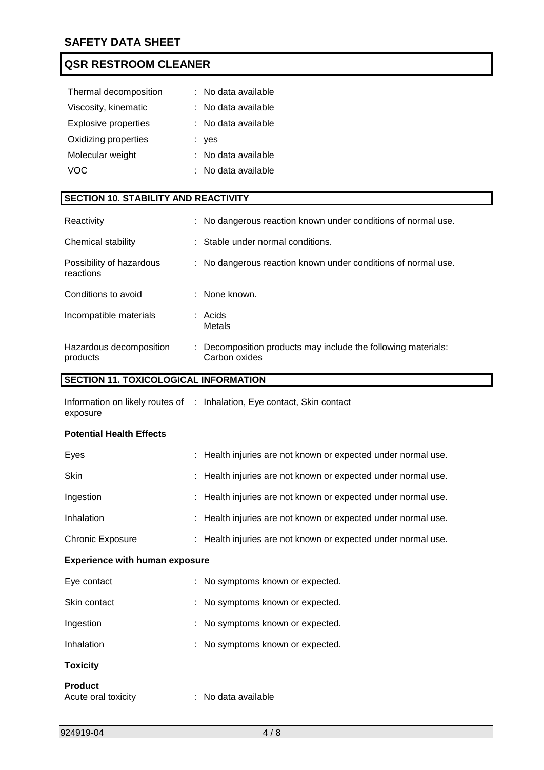| Thermal decomposition       | t. | No data available |
|-----------------------------|----|-------------------|
| Viscosity, kinematic        |    | No data available |
| <b>Explosive properties</b> |    | No data available |
| Oxidizing properties        |    | : yes             |
| Molecular weight            |    | No data available |
| VOC.                        |    | No data available |

# **SECTION 10. STABILITY AND REACTIVITY**

| Reactivity                            | : No dangerous reaction known under conditions of normal use.                  |
|---------------------------------------|--------------------------------------------------------------------------------|
| Chemical stability                    | : Stable under normal conditions.                                              |
| Possibility of hazardous<br>reactions | : No dangerous reaction known under conditions of normal use.                  |
| Conditions to avoid                   | $\therefore$ None known.                                                       |
| Incompatible materials                | $:$ Acids<br>Metals                                                            |
| Hazardous decomposition<br>products   | : Decomposition products may include the following materials:<br>Carbon oxides |

# **SECTION 11. TOXICOLOGICAL INFORMATION**

Information on likely routes of : Inhalation, Eye contact, Skin contact exposure

## **Potential Health Effects**

| Eyes                                  | : Health injuries are not known or expected under normal use. |
|---------------------------------------|---------------------------------------------------------------|
| Skin                                  | : Health injuries are not known or expected under normal use. |
| Ingestion                             | : Health injuries are not known or expected under normal use. |
| Inhalation                            | : Health injuries are not known or expected under normal use. |
| <b>Chronic Exposure</b>               | : Health injuries are not known or expected under normal use. |
| <b>Experience with human exposure</b> |                                                               |
| Eye contact                           | : No symptoms known or expected.                              |
| Skin contact                          | : No symptoms known or expected.                              |
| Ingestion                             | : No symptoms known or expected.                              |
| Inhalation                            | : No symptoms known or expected.                              |
| <b>Toxicity</b>                       |                                                               |
| <b>Product</b><br>Acute oral toxicity | : No data available                                           |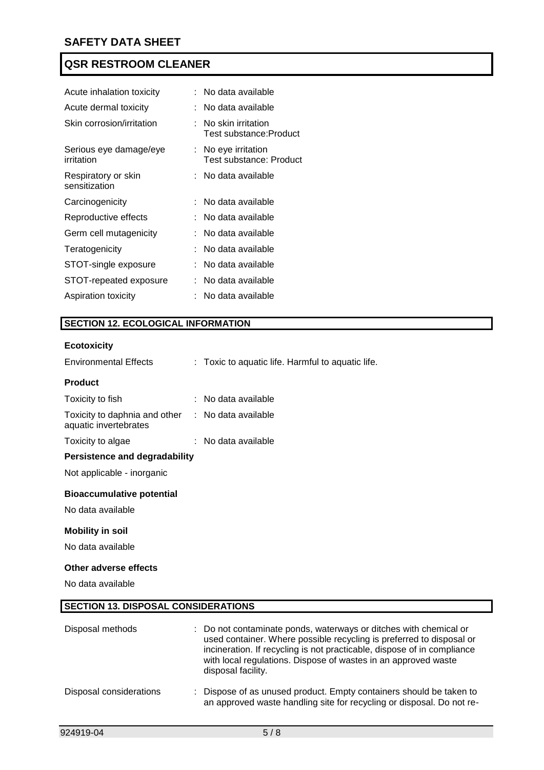| Acute inhalation toxicity            |  | : No data available                           |
|--------------------------------------|--|-----------------------------------------------|
| Acute dermal toxicity                |  | :   No data available                         |
| Skin corrosion/irritation            |  | No skin irritation<br>Test substance: Product |
| Serious eye damage/eye<br>irritation |  | No eye irritation<br>Test substance: Product  |
| Respiratory or skin<br>sensitization |  | No data available                             |
| Carcinogenicity                      |  | No data available                             |
| Reproductive effects                 |  | : No data available                           |
| Germ cell mutagenicity               |  | No data available                             |
|                                      |  | No data available                             |
| Teratogenicity                       |  |                                               |
| STOT-single exposure                 |  | No data available                             |
| STOT-repeated exposure               |  | No data available                             |

# **SECTION 12. ECOLOGICAL INFORMATION**

## **Ecotoxicity**

| <b>Environmental Effects</b>                           | : Toxic to aquatic life. Harmful to aquatic life.                                                                                                                                                                                                                                      |
|--------------------------------------------------------|----------------------------------------------------------------------------------------------------------------------------------------------------------------------------------------------------------------------------------------------------------------------------------------|
| <b>Product</b>                                         |                                                                                                                                                                                                                                                                                        |
| Toxicity to fish                                       | : No data available                                                                                                                                                                                                                                                                    |
| Toxicity to daphnia and other<br>aquatic invertebrates | : No data available                                                                                                                                                                                                                                                                    |
| Toxicity to algae                                      | : No data available                                                                                                                                                                                                                                                                    |
| <b>Persistence and degradability</b>                   |                                                                                                                                                                                                                                                                                        |
| Not applicable - inorganic                             |                                                                                                                                                                                                                                                                                        |
| <b>Bioaccumulative potential</b>                       |                                                                                                                                                                                                                                                                                        |
| No data available                                      |                                                                                                                                                                                                                                                                                        |
| <b>Mobility in soil</b>                                |                                                                                                                                                                                                                                                                                        |
| No data available                                      |                                                                                                                                                                                                                                                                                        |
| Other adverse effects                                  |                                                                                                                                                                                                                                                                                        |
| No data available                                      |                                                                                                                                                                                                                                                                                        |
| <b>SECTION 13. DISPOSAL CONSIDERATIONS</b>             |                                                                                                                                                                                                                                                                                        |
| Disposal methods                                       | : Do not contaminate ponds, waterways or ditches with chemical or<br>used container. Where possible recycling is preferred to disposal or<br>incineration. If recycling is not practicable, dispose of in compliance<br>with local regulations. Dispose of wastes in an approved waste |

disposal facility.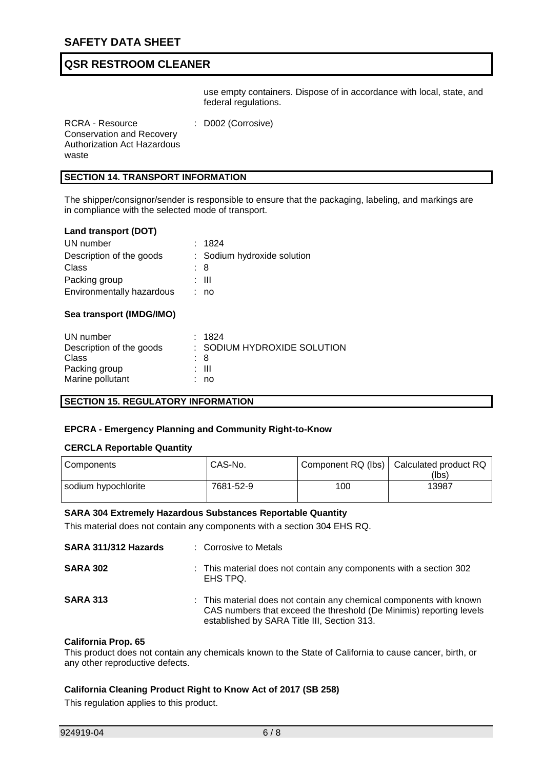use empty containers. Dispose of in accordance with local, state, and federal regulations.

RCRA - Resource Conservation and Recovery Authorization Act Hazardous waste : D002 (Corrosive)

# **SECTION 14. TRANSPORT INFORMATION**

The shipper/consignor/sender is responsible to ensure that the packaging, labeling, and markings are in compliance with the selected mode of transport.

#### **Land transport (DOT)**

| UN number                 |     | : 1824                      |
|---------------------------|-----|-----------------------------|
| Description of the goods  |     | : Sodium hydroxide solution |
| Class                     | : 8 |                             |
| Packing group             |     | : III                       |
| Environmentally hazardous |     | : no                        |

# **Sea transport (IMDG/IMO)**

| UN number                |     | : 1824                      |
|--------------------------|-----|-----------------------------|
| Description of the goods |     | : SODIUM HYDROXIDE SOLUTION |
| Class                    | : 8 |                             |
| Packing group            |     | : III                       |
| Marine pollutant         |     | : no                        |

#### **SECTION 15. REGULATORY INFORMATION**

#### **EPCRA - Emergency Planning and Community Right-to-Know**

#### **CERCLA Reportable Quantity**

| Components          | CAS-No.   |     | Component RQ (lbs)   Calculated product RQ<br>(lbs) |
|---------------------|-----------|-----|-----------------------------------------------------|
| sodium hypochlorite | 7681-52-9 | 100 | 13987                                               |

#### **SARA 304 Extremely Hazardous Substances Reportable Quantity**

This material does not contain any components with a section 304 EHS RQ.

| SARA 311/312 Hazards | : Corrosive to Metals                                                                                                                                                                     |
|----------------------|-------------------------------------------------------------------------------------------------------------------------------------------------------------------------------------------|
| <b>SARA 302</b>      | : This material does not contain any components with a section 302<br>EHS TPQ.                                                                                                            |
| <b>SARA 313</b>      | : This material does not contain any chemical components with known<br>CAS numbers that exceed the threshold (De Minimis) reporting levels<br>established by SARA Title III, Section 313. |

#### **California Prop. 65**

This product does not contain any chemicals known to the State of California to cause cancer, birth, or any other reproductive defects.

#### **California Cleaning Product Right to Know Act of 2017 (SB 258)**

This regulation applies to this product.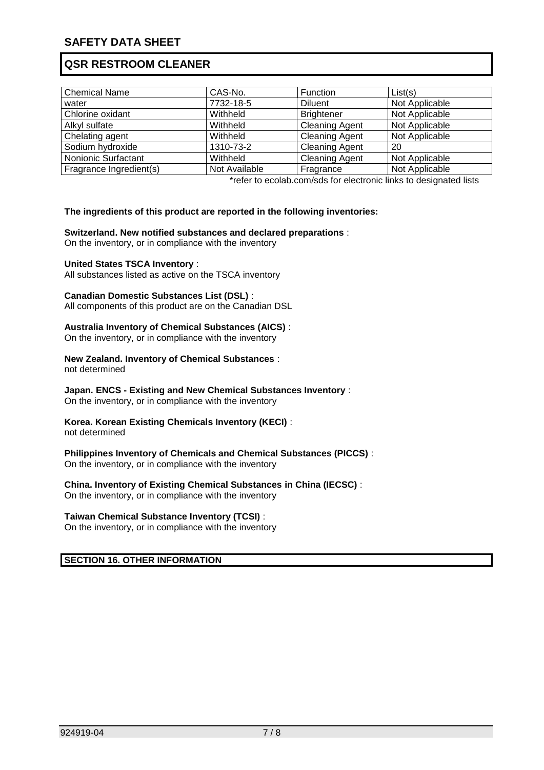| <b>Chemical Name</b>    | CAS-No.       | Function              | List(s)        |
|-------------------------|---------------|-----------------------|----------------|
| water                   | 7732-18-5     | <b>Diluent</b>        | Not Applicable |
| Chlorine oxidant        | Withheld      | <b>Brightener</b>     | Not Applicable |
| Alkyl sulfate           | Withheld      | <b>Cleaning Agent</b> | Not Applicable |
| Chelating agent         | Withheld      | <b>Cleaning Agent</b> | Not Applicable |
| Sodium hydroxide        | 1310-73-2     | <b>Cleaning Agent</b> | 20             |
| Nonionic Surfactant     | Withheld      | <b>Cleaning Agent</b> | Not Applicable |
| Fragrance Ingredient(s) | Not Available | Fragrance             | Not Applicable |

\*refer to ecolab.com/sds for electronic links to designated lists

## **The ingredients of this product are reported in the following inventories:**

#### **Switzerland. New notified substances and declared preparations** :

On the inventory, or in compliance with the inventory

#### **United States TSCA Inventory** :

All substances listed as active on the TSCA inventory

#### **Canadian Domestic Substances List (DSL)** :

All components of this product are on the Canadian DSL

#### **Australia Inventory of Chemical Substances (AICS)** :

On the inventory, or in compliance with the inventory

## **New Zealand. Inventory of Chemical Substances** :

not determined

## **Japan. ENCS - Existing and New Chemical Substances Inventory** :

On the inventory, or in compliance with the inventory

## **Korea. Korean Existing Chemicals Inventory (KECI)** :

not determined

## **Philippines Inventory of Chemicals and Chemical Substances (PICCS)** :

On the inventory, or in compliance with the inventory

## **China. Inventory of Existing Chemical Substances in China (IECSC)** :

On the inventory, or in compliance with the inventory

## **Taiwan Chemical Substance Inventory (TCSI)** :

On the inventory, or in compliance with the inventory

## **SECTION 16. OTHER INFORMATION**